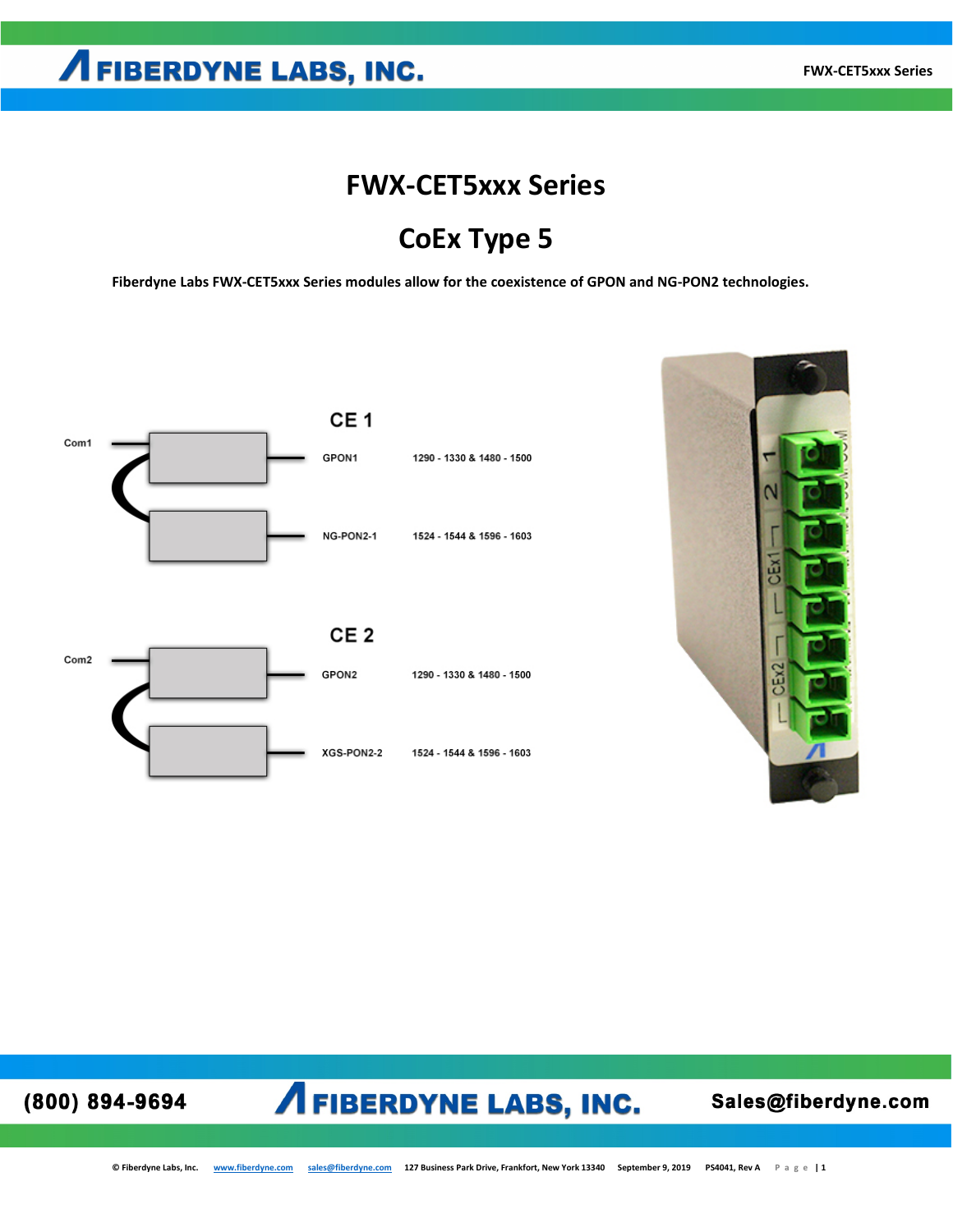## **FWX-CET5xxx Series**

## **CoEx Type 5**

**Fiberdyne Labs FWX-CET5xxx Series modules allow for the coexistence of GPON and NG-PON2 technologies.**



XGS-PON2-2



(800) 894-9694

## **AFIBERDYNE LABS, INC.**

1524 - 1544 & 1596 - 1603

Sales@fiberdyne.com